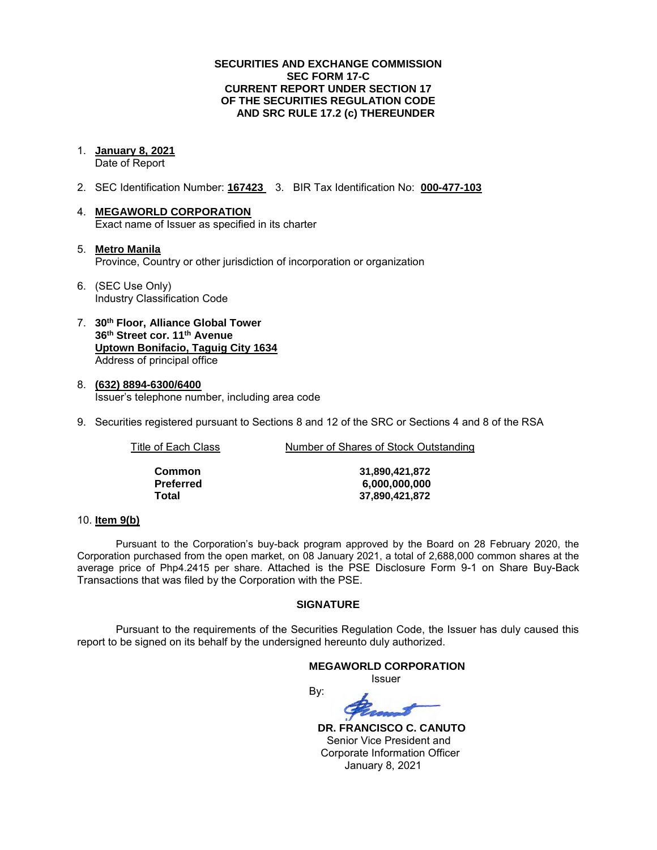#### **SECURITIES AND EXCHANGE COMMISSION SEC FORM 17-C CURRENT REPORT UNDER SECTION 17 OF THE SECURITIES REGULATION CODE AND SRC RULE 17.2 (c) THEREUNDER**

1. **January 8, 2021** 

Date of Report

- 2. SEC Identification Number: **167423** 3. BIR Tax Identification No: **000-477-103**
- 4. **MEGAWORLD CORPORATION**  Exact name of Issuer as specified in its charter
- 5. **Metro Manila** Province, Country or other jurisdiction of incorporation or organization
- 6. (SEC Use Only) Industry Classification Code
- 7. **30th Floor, Alliance Global Tower 36th Street cor. 11th Avenue Uptown Bonifacio, Taguig City 1634** Address of principal office
- 8. **(632) 8894-6300/6400**  Issuer's telephone number, including area code
- 9. Securities registered pursuant to Sections 8 and 12 of the SRC or Sections 4 and 8 of the RSA

Title of Each Class Number of Shares of Stock Outstanding

| Common    | 31,890,421,872 |
|-----------|----------------|
| Preferred | 6,000,000,000  |
| Total     | 37,890,421,872 |

### 10. **Item 9(b)**

Pursuant to the Corporation's buy-back program approved by the Board on 28 February 2020, the Corporation purchased from the open market, on 08 January 2021, a total of 2,688,000 common shares at the average price of Php4.2415 per share. Attached is the PSE Disclosure Form 9-1 on Share Buy-Back Transactions that was filed by the Corporation with the PSE.

### **SIGNATURE**

Pursuant to the requirements of the Securities Regulation Code, the Issuer has duly caused this report to be signed on its behalf by the undersigned hereunto duly authorized.

### **MEGAWORLD CORPORATION**

*<u>Issuer</u> Issuer Issuer* 

By:

 **DR. FRANCISCO C. CANUTO**  Senior Vice President and Corporate Information Officer January 8, 2021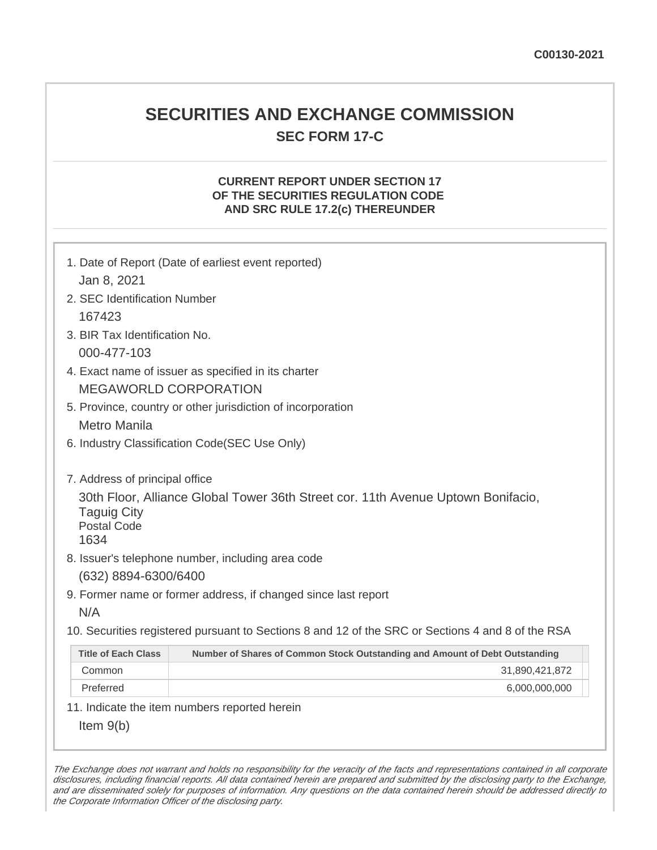# **SECURITIES AND EXCHANGE COMMISSION SEC FORM 17-C**

# **CURRENT REPORT UNDER SECTION 17 OF THE SECURITIES REGULATION CODE AND SRC RULE 17.2(c) THEREUNDER**

| Jan 8, 2021                                                                                                | 1. Date of Report (Date of earliest event reported)                                                                                                                                                     |
|------------------------------------------------------------------------------------------------------------|---------------------------------------------------------------------------------------------------------------------------------------------------------------------------------------------------------|
| 2. SEC Identification Number                                                                               |                                                                                                                                                                                                         |
| 167423                                                                                                     |                                                                                                                                                                                                         |
| 3. BIR Tax Identification No.                                                                              |                                                                                                                                                                                                         |
| 000-477-103                                                                                                |                                                                                                                                                                                                         |
|                                                                                                            | 4. Exact name of issuer as specified in its charter                                                                                                                                                     |
|                                                                                                            | <b>MEGAWORLD CORPORATION</b>                                                                                                                                                                            |
| 5. Province, country or other jurisdiction of incorporation                                                |                                                                                                                                                                                                         |
| <b>Metro Manila</b>                                                                                        |                                                                                                                                                                                                         |
| 6. Industry Classification Code(SEC Use Only)                                                              |                                                                                                                                                                                                         |
| 7. Address of principal office<br><b>Taguig City</b><br><b>Postal Code</b><br>1634<br>(632) 8894-6300/6400 | 30th Floor, Alliance Global Tower 36th Street cor. 11th Avenue Uptown Bonifacio,<br>8. Issuer's telephone number, including area code<br>9. Former name or former address, if changed since last report |
| N/A                                                                                                        |                                                                                                                                                                                                         |
|                                                                                                            | 10. Securities registered pursuant to Sections 8 and 12 of the SRC or Sections 4 and 8 of the RSA                                                                                                       |
| <b>Title of Each Class</b>                                                                                 | Number of Shares of Common Stock Outstanding and Amount of Debt Outstanding                                                                                                                             |
| Common                                                                                                     | 31,890,421,872                                                                                                                                                                                          |
| Preferred                                                                                                  | 6,000,000,000                                                                                                                                                                                           |
|                                                                                                            | 11. Indicate the item numbers reported herein                                                                                                                                                           |
| Item $9(b)$                                                                                                |                                                                                                                                                                                                         |

The Exchange does not warrant and holds no responsibility for the veracity of the facts and representations contained in all corporate disclosures, including financial reports. All data contained herein are prepared and submitted by the disclosing party to the Exchange, and are disseminated solely for purposes of information. Any questions on the data contained herein should be addressed directly to the Corporate Information Officer of the disclosing party.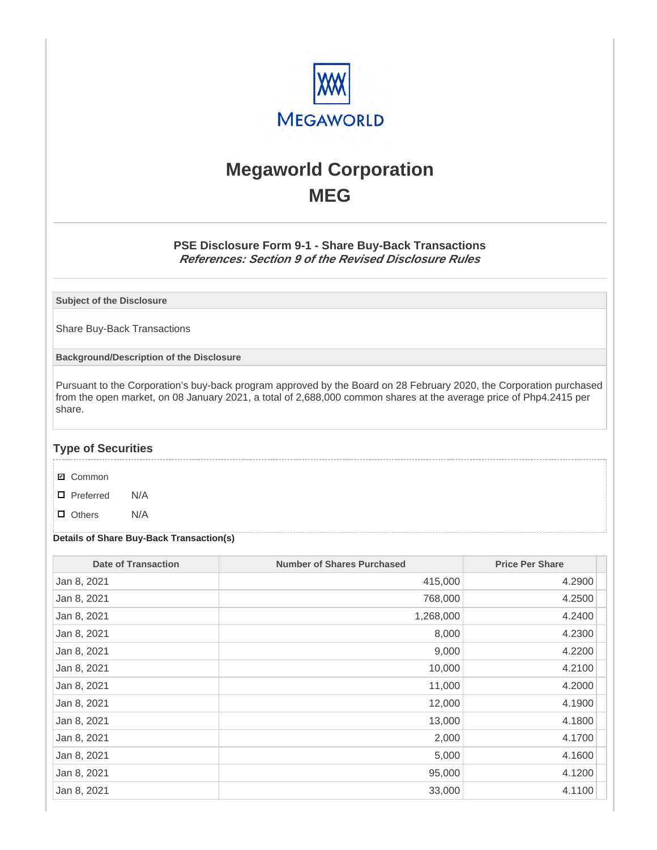

# **Megaworld Corporation MEG**

## **PSE Disclosure Form 9-1 - Share Buy-Back Transactions References: Section 9 of the Revised Disclosure Rules**

**Subject of the Disclosure**

Share Buy-Back Transactions

**Background/Description of the Disclosure**

Pursuant to the Corporation's buy-back program approved by the Board on 28 February 2020, the Corporation purchased from the open market, on 08 January 2021, a total of 2,688,000 common shares at the average price of Php4.2415 per share.

### **Type of Securities**

- **☑** Common
- □ Preferred N/A
- D Others N/A

#### **Details of Share Buy-Back Transaction(s)**

| <b>Date of Transaction</b> | <b>Number of Shares Purchased</b> | <b>Price Per Share</b> |
|----------------------------|-----------------------------------|------------------------|
| Jan 8, 2021                | 415,000                           | 4.2900                 |
| Jan 8, 2021                | 768,000                           | 4.2500                 |
| Jan 8, 2021                | 1,268,000                         | 4.2400                 |
| Jan 8, 2021                | 8,000                             | 4.2300                 |
| Jan 8, 2021                | 9,000                             | 4.2200                 |
| Jan 8, 2021                | 10,000                            | 4.2100                 |
| Jan 8, 2021                | 11,000                            | 4.2000                 |
| Jan 8, 2021                | 12,000                            | 4.1900                 |
| Jan 8, 2021                | 13,000                            | 4.1800                 |
| Jan 8, 2021                | 2,000                             | 4.1700                 |
| Jan 8, 2021                | 5,000                             | 4.1600                 |
| Jan 8, 2021                | 95,000                            | 4.1200                 |
| Jan 8, 2021                | 33,000                            | 4.1100                 |